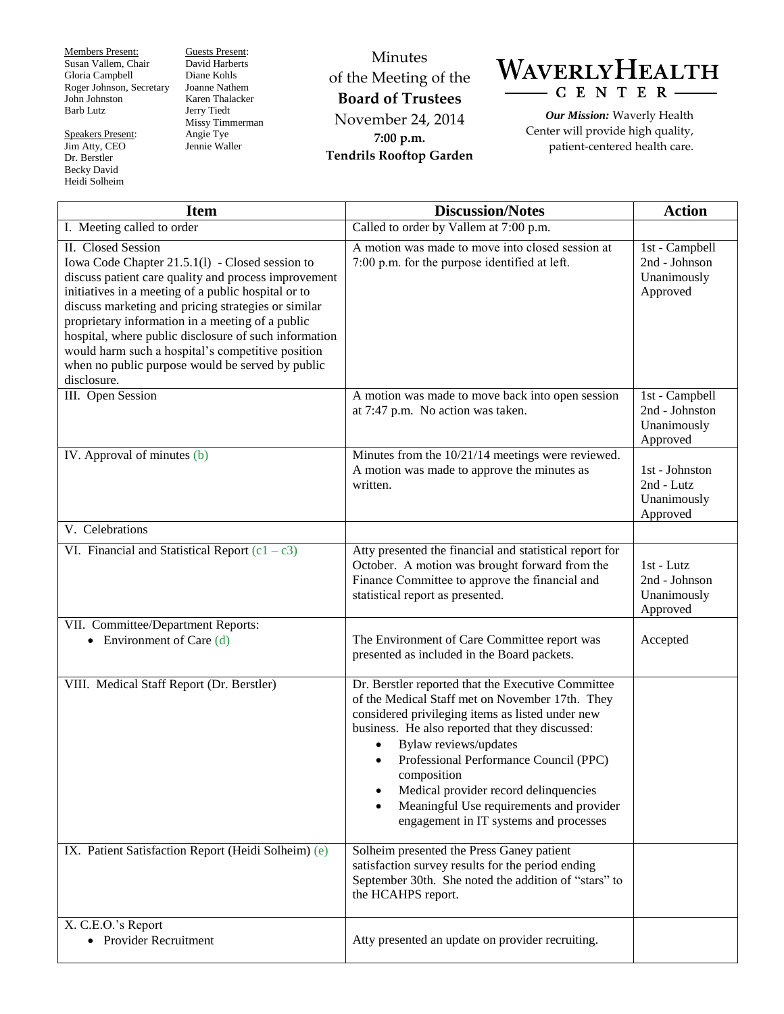Members Present: Susan Vallem, Chair Gloria Campbell Roger Johnson, Secretary John Johnston Barb Lutz

Speakers Present: Jim Atty, CEO Dr. Berstler Becky David Heidi Solheim

Guests Present: David Harberts Diane Kohls Joanne Nathem Karen Thalacker Jerry Tiedt Missy Timmerman Angie Tye Jennie Waller

Minutes of the Meeting of the **Board of Trustees** November 24, 2014 **7:00 p.m. Tendrils Rooftop Garden**



*Our Mission:* Waverly Health Center will provide high quality, patient-centered health care.

| <b>Item</b>                                                                                                                                                                                                                                                                                                                                                                                                                                                                      | <b>Discussion/Notes</b>                                                                                                                                                                                                                                                                                                                                                                                                       | <b>Action</b>                                               |
|----------------------------------------------------------------------------------------------------------------------------------------------------------------------------------------------------------------------------------------------------------------------------------------------------------------------------------------------------------------------------------------------------------------------------------------------------------------------------------|-------------------------------------------------------------------------------------------------------------------------------------------------------------------------------------------------------------------------------------------------------------------------------------------------------------------------------------------------------------------------------------------------------------------------------|-------------------------------------------------------------|
| I. Meeting called to order                                                                                                                                                                                                                                                                                                                                                                                                                                                       | Called to order by Vallem at 7:00 p.m.                                                                                                                                                                                                                                                                                                                                                                                        |                                                             |
| II. Closed Session<br>Iowa Code Chapter 21.5.1(l) - Closed session to<br>discuss patient care quality and process improvement<br>initiatives in a meeting of a public hospital or to<br>discuss marketing and pricing strategies or similar<br>proprietary information in a meeting of a public<br>hospital, where public disclosure of such information<br>would harm such a hospital's competitive position<br>when no public purpose would be served by public<br>disclosure. | A motion was made to move into closed session at<br>7:00 p.m. for the purpose identified at left.                                                                                                                                                                                                                                                                                                                             | 1st - Campbell<br>2nd - Johnson<br>Unanimously<br>Approved  |
| III. Open Session                                                                                                                                                                                                                                                                                                                                                                                                                                                                | A motion was made to move back into open session<br>at 7:47 p.m. No action was taken.                                                                                                                                                                                                                                                                                                                                         | 1st - Campbell<br>2nd - Johnston<br>Unanimously<br>Approved |
| IV. Approval of minutes (b)                                                                                                                                                                                                                                                                                                                                                                                                                                                      | Minutes from the 10/21/14 meetings were reviewed.<br>A motion was made to approve the minutes as<br>written.                                                                                                                                                                                                                                                                                                                  | 1st - Johnston<br>2nd - Lutz<br>Unanimously<br>Approved     |
| V. Celebrations                                                                                                                                                                                                                                                                                                                                                                                                                                                                  |                                                                                                                                                                                                                                                                                                                                                                                                                               |                                                             |
| VI. Financial and Statistical Report $(c1 - c3)$                                                                                                                                                                                                                                                                                                                                                                                                                                 | Atty presented the financial and statistical report for<br>October. A motion was brought forward from the<br>Finance Committee to approve the financial and<br>statistical report as presented.                                                                                                                                                                                                                               | $1st - Lutz$<br>2nd - Johnson<br>Unanimously<br>Approved    |
| VII. Committee/Department Reports:<br>• Environment of Care $(d)$                                                                                                                                                                                                                                                                                                                                                                                                                | The Environment of Care Committee report was<br>presented as included in the Board packets.                                                                                                                                                                                                                                                                                                                                   | Accepted                                                    |
| VIII. Medical Staff Report (Dr. Berstler)                                                                                                                                                                                                                                                                                                                                                                                                                                        | Dr. Berstler reported that the Executive Committee<br>of the Medical Staff met on November 17th. They<br>considered privileging items as listed under new<br>business. He also reported that they discussed:<br>Bylaw reviews/updates<br>Professional Performance Council (PPC)<br>composition<br>Medical provider record delinquencies<br>Meaningful Use requirements and provider<br>engagement in IT systems and processes |                                                             |
| IX. Patient Satisfaction Report (Heidi Solheim) (e)                                                                                                                                                                                                                                                                                                                                                                                                                              | Solheim presented the Press Ganey patient<br>satisfaction survey results for the period ending<br>September 30th. She noted the addition of "stars" to<br>the HCAHPS report.                                                                                                                                                                                                                                                  |                                                             |
| X. C.E.O.'s Report<br>• Provider Recruitment                                                                                                                                                                                                                                                                                                                                                                                                                                     | Atty presented an update on provider recruiting.                                                                                                                                                                                                                                                                                                                                                                              |                                                             |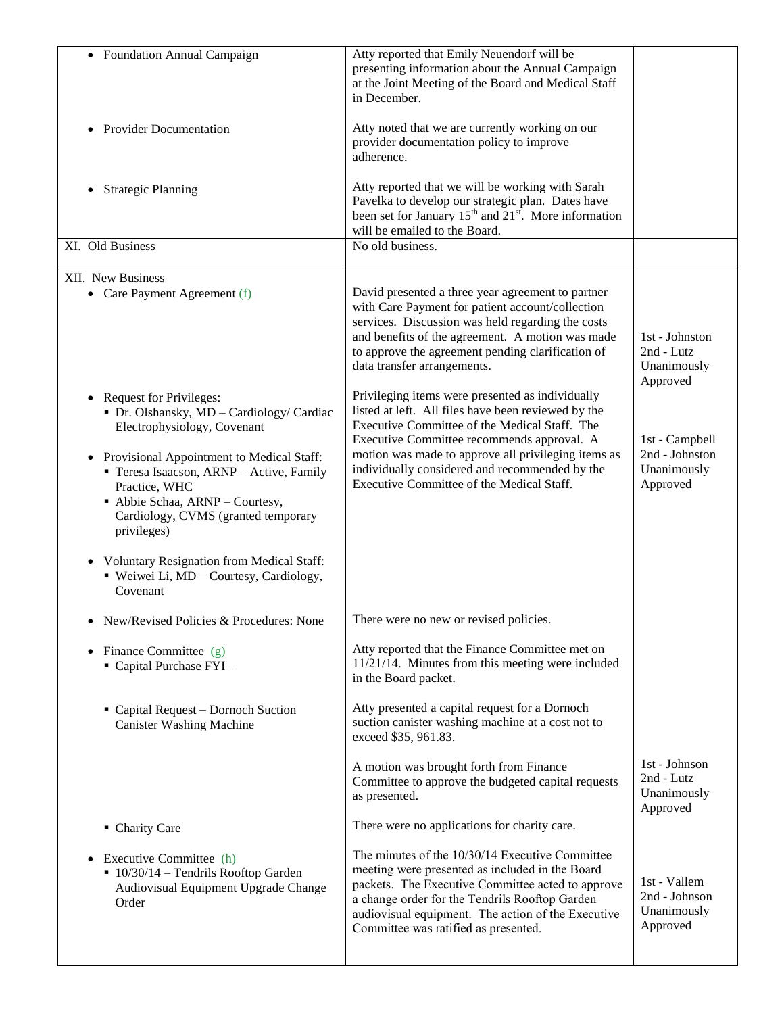| • Foundation Annual Campaign                                                                                                                                                                | Atty reported that Emily Neuendorf will be<br>presenting information about the Annual Campaign<br>at the Joint Meeting of the Board and Medical Staff                                                                                                                                                   |                                                          |
|---------------------------------------------------------------------------------------------------------------------------------------------------------------------------------------------|---------------------------------------------------------------------------------------------------------------------------------------------------------------------------------------------------------------------------------------------------------------------------------------------------------|----------------------------------------------------------|
|                                                                                                                                                                                             | in December.                                                                                                                                                                                                                                                                                            |                                                          |
| <b>Provider Documentation</b>                                                                                                                                                               | Atty noted that we are currently working on our<br>provider documentation policy to improve<br>adherence.                                                                                                                                                                                               |                                                          |
| <b>Strategic Planning</b>                                                                                                                                                                   | Atty reported that we will be working with Sarah<br>Pavelka to develop our strategic plan. Dates have<br>been set for January $15^{th}$ and $21^{st}$ . More information<br>will be emailed to the Board.                                                                                               |                                                          |
| XI. Old Business                                                                                                                                                                            | No old business.                                                                                                                                                                                                                                                                                        |                                                          |
| XII. New Business                                                                                                                                                                           |                                                                                                                                                                                                                                                                                                         |                                                          |
| • Care Payment Agreement (f)                                                                                                                                                                | David presented a three year agreement to partner<br>with Care Payment for patient account/collection<br>services. Discussion was held regarding the costs<br>and benefits of the agreement. A motion was made<br>to approve the agreement pending clarification of<br>data transfer arrangements.      | 1st - Johnston<br>2nd - Lutz<br>Unanimously<br>Approved  |
| <b>Request for Privileges:</b><br>• Dr. Olshansky, MD - Cardiology/ Cardiac<br>Electrophysiology, Covenant                                                                                  | Privileging items were presented as individually<br>listed at left. All files have been reviewed by the<br>Executive Committee of the Medical Staff. The<br>Executive Committee recommends approval. A                                                                                                  | 1st - Campbell                                           |
| Provisional Appointment to Medical Staff:<br>Teresa Isaacson, ARNP - Active, Family<br>Practice, WHC<br>Abbie Schaa, ARNP - Courtesy,<br>Cardiology, CVMS (granted temporary<br>privileges) | motion was made to approve all privileging items as<br>individually considered and recommended by the<br>Executive Committee of the Medical Staff.                                                                                                                                                      | 2nd - Johnston<br>Unanimously<br>Approved                |
| Voluntary Resignation from Medical Staff:<br>" Weiwei Li, MD - Courtesy, Cardiology,<br>Covenant                                                                                            |                                                                                                                                                                                                                                                                                                         |                                                          |
| New/Revised Policies & Procedures: None                                                                                                                                                     | There were no new or revised policies.                                                                                                                                                                                                                                                                  |                                                          |
| Finance Committee (g)<br>$\bullet$<br>Capital Purchase FYI-                                                                                                                                 | Atty reported that the Finance Committee met on<br>$11/21/14$ . Minutes from this meeting were included<br>in the Board packet.                                                                                                                                                                         |                                                          |
| • Capital Request – Dornoch Suction<br><b>Canister Washing Machine</b>                                                                                                                      | Atty presented a capital request for a Dornoch<br>suction canister washing machine at a cost not to<br>exceed \$35, 961.83.                                                                                                                                                                             |                                                          |
|                                                                                                                                                                                             | A motion was brought forth from Finance<br>Committee to approve the budgeted capital requests<br>as presented.                                                                                                                                                                                          | 1st - Johnson<br>2nd - Lutz<br>Unanimously<br>Approved   |
| • Charity Care                                                                                                                                                                              | There were no applications for charity care.                                                                                                                                                                                                                                                            |                                                          |
| Executive Committee (h)<br>$\blacksquare$ 10/30/14 - Tendrils Rooftop Garden<br>Audiovisual Equipment Upgrade Change<br>Order                                                               | The minutes of the 10/30/14 Executive Committee<br>meeting were presented as included in the Board<br>packets. The Executive Committee acted to approve<br>a change order for the Tendrils Rooftop Garden<br>audiovisual equipment. The action of the Executive<br>Committee was ratified as presented. | 1st - Vallem<br>2nd - Johnson<br>Unanimously<br>Approved |